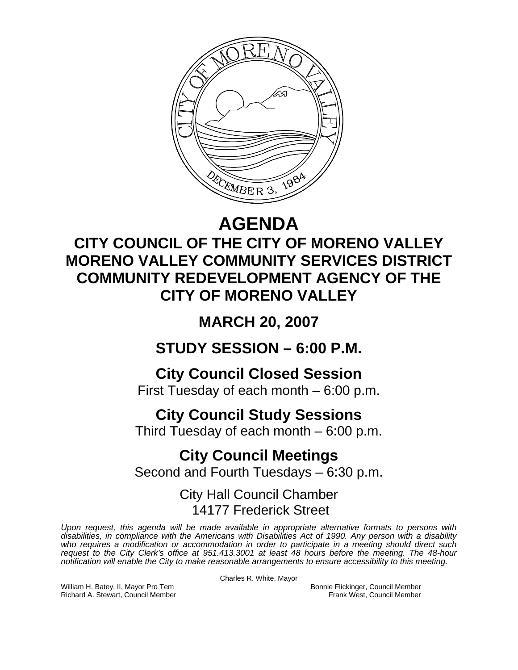

## **AGENDA**

## **CITY COUNCIL OF THE CITY OF MORENO VALLEY MORENO VALLEY COMMUNITY SERVICES DISTRICT COMMUNITY REDEVELOPMENT AGENCY OF THE CITY OF MORENO VALLEY**

**MARCH 20, 2007** 

**STUDY SESSION – 6:00 P.M.** 

**City Council Closed Session** 

First Tuesday of each month – 6:00 p.m.

# **City Council Study Sessions**

Third Tuesday of each month – 6:00 p.m.

### **City Council Meetings**  Second and Fourth Tuesdays – 6:30 p.m.

City Hall Council Chamber 14177 Frederick Street

*Upon request, this agenda will be made available in appropriate alternative formats to persons with disabilities, in compliance with the Americans with Disabilities Act of 1990. Any person with a disability*  who requires a modification or accommodation in order to participate in a meeting should direct such *request to the City Clerk's office at 951.413.3001 at least 48 hours before the meeting. The 48-hour notification will enable the City to make reasonable arrangements to ensure accessibility to this meeting.* 

Charles R. White, Mayor

William H. Batey, II, Mayor Pro Tem Bonnie Flickinger, Council Member<br>Richard A. Stewart, Council Member **Bonnie Flickinger, Council Member** Frank West, Council Member Richard A. Stewart, Council Member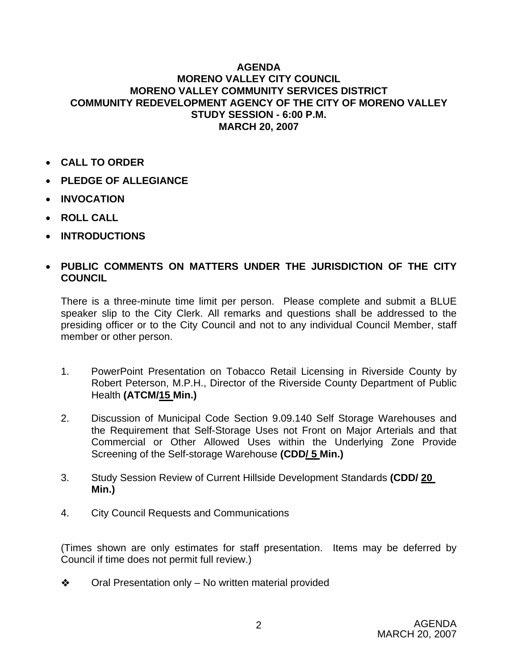#### **AGENDA MORENO VALLEY CITY COUNCIL MORENO VALLEY COMMUNITY SERVICES DISTRICT COMMUNITY REDEVELOPMENT AGENCY OF THE CITY OF MORENO VALLEY STUDY SESSION - 6:00 P.M. MARCH 20, 2007**

- **CALL TO ORDER**
- **PLEDGE OF ALLEGIANCE**
- **INVOCATION**
- **ROLL CALL**
- **INTRODUCTIONS**

### • **PUBLIC COMMENTS ON MATTERS UNDER THE JURISDICTION OF THE CITY COUNCIL**

There is a three-minute time limit per person. Please complete and submit a BLUE speaker slip to the City Clerk. All remarks and questions shall be addressed to the presiding officer or to the City Council and not to any individual Council Member, staff member or other person.

- 1. PowerPoint Presentation on Tobacco Retail Licensing in Riverside County by Robert Peterson, M.P.H., Director of the Riverside County Department of Public Health **(ATCM/15 Min.)**
- 2. Discussion of Municipal Code Section 9.09.140 Self Storage Warehouses and the Requirement that Self-Storage Uses not Front on Major Arterials and that Commercial or Other Allowed Uses within the Underlying Zone Provide Screening of the Self-storage Warehouse **(CDD/ 5 Min.)**
- 3. Study Session Review of Current Hillside Development Standards **(CDD/ 20 Min.)**
- 4. City Council Requests and Communications

(Times shown are only estimates for staff presentation. Items may be deferred by Council if time does not permit full review.)

 $\triangle$  Oral Presentation only – No written material provided